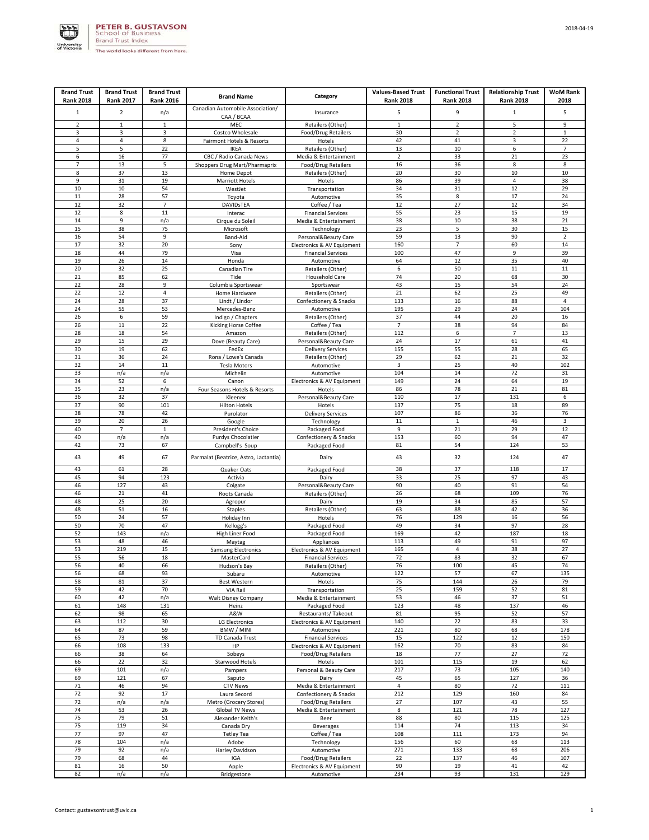

| <b>Brand Trust</b>  | <b>Brand Trust</b> | <b>Brand Trust</b> |                                       |                                           | <b>Values-Based Trust</b> | <b>Functional Trust</b>       | <b>Relationship Trust</b> | <b>WoM Rank</b>          |
|---------------------|--------------------|--------------------|---------------------------------------|-------------------------------------------|---------------------------|-------------------------------|---------------------------|--------------------------|
| <b>Rank 2018</b>    | <b>Rank 2017</b>   | <b>Rank 2016</b>   | <b>Brand Name</b>                     | Category                                  | <b>Rank 2018</b>          | <b>Rank 2018</b>              | <b>Rank 2018</b>          | 2018                     |
| $\mathbf{1}$        | $\overline{2}$     | n/a                | Canadian Automobile Association/      | Insurance                                 | 5                         | 9                             | $1\,$                     | 5                        |
|                     |                    |                    | CAA / BCAA                            |                                           |                           |                               |                           |                          |
| $\overline{2}$<br>3 | $\mathbf{1}$<br>3  | $\mathbf{1}$<br>3  | MEC<br>Costco Wholesale               | Retailers (Other)<br>Food/Drug Retailers  | $\mathbf{1}$<br>30        | $\mathbf 2$<br>$\overline{2}$ | 5<br>$\overline{2}$       | 9<br>$\mathbf 1$         |
| $\sqrt{4}$          | 4                  | 8                  | Fairmont Hotels & Resorts             | Hotels                                    | 42                        | 41                            | 3                         | 22                       |
| 5                   | 5                  | 22                 | IKEA                                  | Retailers (Other)                         | 13                        | 10                            | 6                         | $\overline{\phantom{a}}$ |
| 6                   | 16                 | 77                 | CBC / Radio Canada News               | Media & Entertainment                     | $\mathbf 2$               | 33                            | 21                        | 23                       |
| 7                   | 13                 | 5                  | Shoppers Drug Mart/Pharmaprix         | Food/Drug Retailers                       | 16                        | 36                            | 8                         | 8                        |
| 8<br>9              | 37<br>31           | 13<br>19           | Home Depot                            | Retailers (Other)<br>Hotels               | 20<br>86                  | 30<br>39                      | 10<br>$\overline{4}$      | 10<br>38                 |
| 10                  | 10                 | 54                 | <b>Marriott Hotels</b><br>WestJet     | Transportation                            | 34                        | 31                            | 12                        | 29                       |
| 11                  | 28                 | 57                 | Toyota                                | Automotive                                | 35                        | 8                             | 17                        | 24                       |
| 12                  | 32                 | $\overline{7}$     | <b>DAVIDSTEA</b>                      | Coffee / Tea                              | 12                        | 27                            | 12                        | 34                       |
| 12                  | 8                  | 11                 | Interac                               | <b>Financial Services</b>                 | 55                        | 23                            | 15                        | 19                       |
| 14<br>15            | 9<br>38            | n/a<br>75          | Cirque du Soleil<br>Microsoft         | Media & Entertainment                     | 38<br>23                  | 10<br>5                       | 38<br>30                  | 21<br>15                 |
| 16                  | 54                 | 9                  | Band-Aid                              | Technology<br>Personal&Beauty Care        | 59                        | 13                            | 90                        | $\overline{2}$           |
| 17                  | 32                 | 20                 | Sony                                  | Electronics & AV Equipment                | 160                       | $\overline{7}$                | 60                        | 14                       |
| 18                  | 44                 | 79                 | Visa                                  | <b>Financial Services</b>                 | 100                       | 47                            | 9                         | 39                       |
| 19                  | 26                 | 14                 | Honda                                 | Automotive                                | 64                        | 12                            | 35                        | 40                       |
| 20                  | 32                 | 25                 | Canadian Tire                         | Retailers (Other)                         | 6                         | 50                            | $11\,$                    | 11                       |
| 21<br>22            | 85<br>28           | 62<br>9            | Tide<br>Columbia Sportswear           | Household Care<br>Sportswear              | 74<br>43                  | 20<br>15                      | 68<br>54                  | 30<br>24                 |
| 22                  | 12                 | $\overline{a}$     | Home Hardware                         | Retailers (Other)                         | 21                        | 62                            | 25                        | 49                       |
| 24                  | 28                 | 37                 | Lindt / Lindor                        | Confectionery & Snacks                    | 133                       | 16                            | 88                        | 4                        |
| 24                  | 55                 | 53                 | Mercedes-Benz                         | Automotive                                | 195                       | 29                            | 24                        | 104                      |
| 26                  | 6                  | 59                 | Indigo / Chapters                     | Retailers (Other)                         | 37                        | 44                            | 20                        | 16                       |
| 26                  | 11                 | 22                 | Kicking Horse Coffee                  | Coffee / Tea                              | $\overline{7}$            | 38                            | 94                        | 84                       |
| 28<br>29            | 18<br>15           | 54<br>29           | Amazon<br>Dove (Beauty Care)          | Retailers (Other)<br>Personal&Beauty Care | 112<br>24                 | 6<br>17                       | $\overline{7}$<br>61      | 13<br>41                 |
| 30                  | 19                 | 62                 | FedEx                                 | <b>Delivery Services</b>                  | 155                       | 55                            | 28                        | 65                       |
| 31                  | 36                 | 24                 | Rona / Lowe's Canada                  | Retailers (Other)                         | 29                        | 62                            | 21                        | 32                       |
| 32                  | $14\,$             | 11                 | <b>Tesla Motors</b>                   | Automotive                                | 3                         | 25                            | 40                        | 102                      |
| 33                  | n/a                | n/a                | Michelin                              | Automotive                                | 104                       | 14                            | 72                        | 31                       |
| 34                  | 52                 | 6                  | Canon                                 | Electronics & AV Equipment                | 149                       | 24                            | 64                        | 19                       |
| 35                  | 23                 | n/a                | Four Seasons Hotels & Resorts         | Hotels                                    | 86                        | 78<br>17                      | 21<br>131                 | 81<br>6                  |
| 36<br>37            | 32<br>90           | 37<br>101          | Kleenex<br><b>Hilton Hotels</b>       | Personal&Beauty Care<br>Hotels            | 110<br>137                | 75                            | 18                        | 89                       |
| 38                  | 78                 | 42                 | Purolator                             | <b>Delivery Services</b>                  | 107                       | 86                            | 36                        | 76                       |
| 39                  | 20                 | 26                 | Google                                | Technology                                | 11                        | $\mathbf 1$                   | 46                        | 3                        |
| 40                  | $\overline{7}$     | $\mathbf 1$        | President's Choice                    | Packaged Food                             | 9                         | 21                            | 29                        | 12                       |
| 40                  | n/a                | n/a                | Purdys Chocolatier                    | Confectionery & Snacks                    | 153                       | 60                            | 94                        | 47                       |
| 42                  | 73                 | 67                 | Campbell's Soup                       | Packaged Food                             | 81                        | 54                            | 124                       | 53                       |
| 43                  | 49                 | 67                 | Parmalat (Beatrice, Astro, Lactantia) | Dairy                                     | 43                        | 32                            | 124                       | 47                       |
| 43                  | 61                 | 28                 | Quaker Oats                           | Packaged Food                             | 38                        | 37                            | 118                       | 17                       |
| 45                  | 94                 | 123                | Activia                               | Dairy                                     | 33                        | 25                            | 97                        | 43                       |
| 46                  | 127                | 43                 | Colgate                               | Personal&Beauty Care                      | 90                        | 40                            | 91                        | 54                       |
| 46                  | 21                 | 41                 | Roots Canada                          | Retailers (Other)                         | 26                        | 68                            | 109                       | 76                       |
| 48<br>48            | 25                 | 20                 | Agropur                               | Dairy                                     | 19                        | 34                            | 85                        | 57                       |
| 50                  | 51<br>24           | 16<br>57           | <b>Staples</b><br>Holiday Inn         | Retailers (Other)<br>Hotels               | 63<br>76                  | 88<br>129                     | 42<br>16                  | 36<br>56                 |
| 50                  | 70                 | 47                 | Kellogg's                             | Packaged Food                             | 49                        | 34                            | 97                        | 28                       |
| 52                  | 143                | n/a                | High Liner Food                       | Packaged Food                             | 169                       | 42                            | 187                       | 18                       |
| 53                  | 48                 | 46                 | Maytag                                | Appliances                                | 113                       | 49                            | 91                        | 97                       |
| 53                  | 219                | 15                 | <b>Samsung Electronics</b>            | Electronics & AV Equipment                | 165                       | 4                             | 38                        | 27                       |
| 55<br>56            | 56                 | 18                 | MasterCard                            | Financial Services                        | 72<br>76                  | 83                            | 32                        | 67<br>74                 |
| 56                  | 40<br>68           | 66<br>93           | Hudson's Bay<br>Subaru                | Retailers (Other)<br>Automotive           | 122                       | 100<br>57                     | 45<br>67                  | 135                      |
| 58                  | 81                 | 37                 | Best Western                          | Hotels                                    | 75                        | 144                           | 26                        | 79                       |
| 59                  | 42                 | 70                 | VIA Rail                              | Transportation                            | 25                        | 159                           | 52                        | 81                       |
| 60                  | 42                 | n/a                | <b>Walt Disney Company</b>            | Media & Entertainment                     | 53                        | 46                            | 37                        | 51                       |
| 61                  | 148                | 131                | Heinz                                 | Packaged Food                             | 123                       | 48                            | 137                       | 46                       |
| 62<br>63            | 98<br>112          | 65<br>30           | A&W<br><b>LG Electronics</b>          | Restaurants/ Takeout                      | 81<br>140                 | 95<br>22                      | 52<br>83                  | 57<br>33                 |
| 64                  | 87                 | 59                 | BMW / MINI                            | Electronics & AV Equipment<br>Automotive  | 221                       | 80                            | 68                        | 178                      |
| 65                  | 73                 | 98                 | TD Canada Trust                       | <b>Financial Services</b>                 | 15                        | 122                           | 12                        | 150                      |
| 66                  | 108                | 133                | HP                                    | Electronics & AV Equipment                | 162                       | 70                            | 83                        | 84                       |
| 66                  | 38                 | 64                 | Sobeys                                | Food/Drug Retailers                       | 18                        | 77                            | 27                        | 72                       |
| 66                  | 22                 | 32                 | Starwood Hotels                       | Hotels                                    | 101                       | 115                           | 19                        | 62                       |
| 69<br>69            | 101<br>121         | n/a<br>67          | Pampers<br>Saputo                     | Personal & Beauty Care<br>Dairy           | 217<br>45                 | 73<br>65                      | 105<br>127                | 140<br>36                |
| 71                  | 46                 | 94                 | <b>CTV News</b>                       | Media & Entertainment                     | $\overline{4}$            | 80                            | 72                        | 111                      |
| 72                  | 92                 | 17                 | Laura Secord                          | Confectionery & Snacks                    | 212                       | 129                           | 160                       | 84                       |
| 72                  | n/a                | n/a                | Metro (Grocery Stores)                | Food/Drug Retailers                       | 27                        | 107                           | 43                        | 55                       |
| 74                  | 53                 | 26                 | Global TV News                        | Media & Entertainment                     | 8                         | 121                           | 78                        | 127                      |
| 75                  | 79                 | 51                 | Alexander Keith's                     | Beer                                      | 88                        | 80                            | 115                       | 125                      |
| 75<br>77            | 119<br>97          | 34<br>47           | Canada Dry                            | <b>Beverages</b>                          | 114<br>108                | 74<br>111                     | 113<br>173                | 34<br>94                 |
| 78                  | 104                | n/a                | <b>Tetley Tea</b><br>Adobe            | Coffee / Tea<br>Technology                | 156                       | 60                            | 68                        | 113                      |
| 79                  | 92                 | n/a                | Harley Davidson                       | Automotive                                | 271                       | 133                           | 68                        | 206                      |
| 79                  | 68                 | 44                 | IGA                                   | Food/Drug Retailers                       | 22                        | 137                           | 46                        | 107                      |
| 81                  | 16                 | 50                 | Apple                                 | Electronics & AV Equipment                | 90                        | 19                            | 41                        | 42                       |
| 82                  | n/a                | n/a                | Bridgestone                           | Automotive                                | 234                       | 93                            | 131                       | 129                      |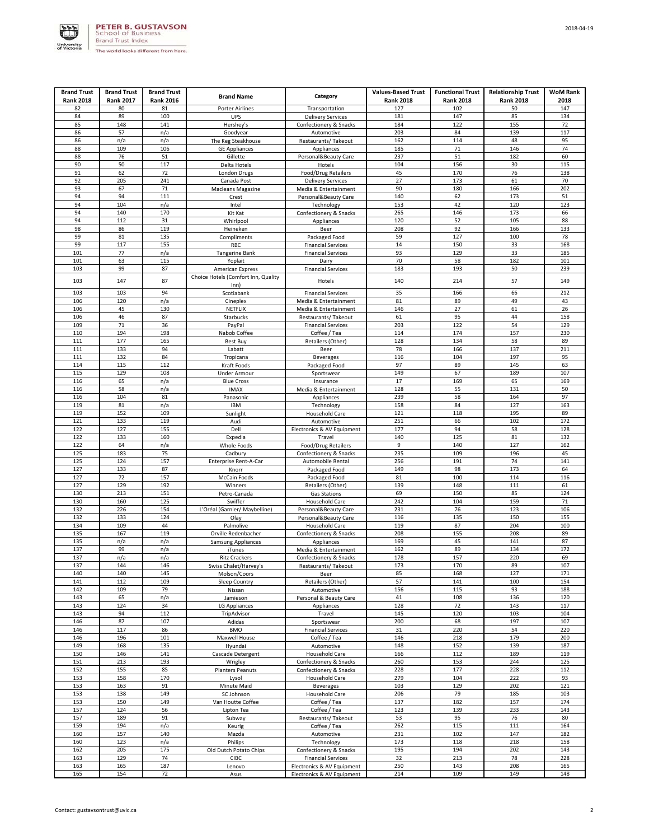

| <b>Brand Trust</b> | <b>Brand Trust</b> | <b>Brand Trust</b> | <b>Brand Name</b>                     | Category                                                 | <b>Values-Based Trust</b> | <b>Functional Trust</b> | <b>Relationship Trust</b> | <b>WoM Rank</b> |
|--------------------|--------------------|--------------------|---------------------------------------|----------------------------------------------------------|---------------------------|-------------------------|---------------------------|-----------------|
| <b>Rank 2018</b>   | <b>Rank 2017</b>   | <b>Rank 2016</b>   |                                       |                                                          | <b>Rank 2018</b>          | <b>Rank 2018</b>        | <b>Rank 2018</b>          | 2018            |
| 82<br>84           | 80<br>89           | 81<br>100          | <b>Porter Airlines</b><br><b>UPS</b>  | Transportation                                           | 127<br>181                | 102<br>147              | 50<br>85                  | 147<br>134      |
| 85                 | 148                | 141                | Hershey's                             | <b>Delivery Services</b><br>Confectionery & Snacks       | 184                       | 122                     | 155                       | 72              |
| 86                 | 57                 | n/a                | Goodyear                              | Automotive                                               | 203                       | 84                      | 139                       | 117             |
| 86                 | n/a                | n/a                | The Keg Steakhouse                    | Restaurants/ Takeout                                     | 162                       | 114                     | 48                        | 95              |
| 88                 | 109                | 106                | <b>GE Appliances</b>                  | Appliances                                               | 185                       | 71                      | 146                       | 74              |
| 88<br>90           | 76<br>50           | 51<br>117          | Gillette<br>Delta Hotels              | Personal&Beauty Care<br>Hotels                           | 237<br>104                | 51<br>156               | 182<br>30                 | 60<br>115       |
| 91                 | 62                 | 72                 | London Drugs                          | Food/Drug Retailers                                      | 45                        | 170                     | 76                        | 138             |
| 92                 | 205                | 241                | Canada Post                           | <b>Delivery Services</b>                                 | 27                        | 173                     | 61                        | 70              |
| 93                 | 67                 | 71                 | <b>Macleans Magazine</b>              | Media & Entertainment                                    | 90                        | 180                     | 166                       | 202             |
| 94                 | 94                 | 111                | Crest                                 | Personal&Beauty Care                                     | 140                       | 62                      | 173                       | 51              |
| 94<br>94           | 104<br>140         | n/a<br>170         | Intel                                 | Technology                                               | 153<br>265                | 42<br>146               | 120<br>173                | 123<br>66       |
| 94                 | 112                | 31                 | Kit Kat<br>Whirlpool                  | Confectionery & Snacks<br>Appliances                     | 120                       | 52                      | 105                       | 88              |
| 98                 | 86                 | 119                | Heineken                              | Beer                                                     | 208                       | 92                      | 166                       | 133             |
| 99                 | 81                 | 135                | Compliments                           | Packaged Food                                            | 59                        | 127                     | 100                       | 78              |
| 99                 | 117                | 155                | RBC                                   | <b>Financial Services</b>                                | 14                        | 150                     | 33                        | 168             |
| 101                | 77                 | n/a                | <b>Tangerine Bank</b>                 | <b>Financial Services</b>                                | 93                        | 129                     | 33                        | 185             |
| 101<br>103         | 63<br>99           | 115<br>87          | Yoplait<br>American Express           | Dairy<br><b>Financial Services</b>                       | 70<br>183                 | 58<br>193               | 182<br>50                 | 101<br>239      |
|                    |                    |                    | Choice Hotels (Comfort Inn, Quality   |                                                          |                           |                         |                           |                 |
| 103                | 147                | 87                 | Inn)                                  | Hotels                                                   | 140                       | 214                     | 57                        | 149             |
| 103                | 103                | 94                 | Scotiabank                            | <b>Financial Services</b>                                | 35                        | 166                     | 66                        | 212             |
| 106                | 120                | n/a                | Cineplex                              | Media & Entertainment                                    | 81                        | 89                      | 49                        | 43              |
| 106<br>106         | 45<br>46           | 130<br>87          | NETFLIX<br><b>Starbucks</b>           | Media & Entertainment                                    | 146<br>61                 | 27<br>95                | 61<br>44                  | 26<br>158       |
| 109                | 71                 | 36                 | PayPal                                | Restaurants/Takeout<br><b>Financial Services</b>         | 203                       | 122                     | 54                        | 129             |
| 110                | 194                | 198                | Nabob Coffee                          | Coffee / Tea                                             | 114                       | 174                     | 157                       | 230             |
| 111                | 177                | 165                | <b>Best Buy</b>                       | Retailers (Other)                                        | 128                       | 134                     | 58                        | 89              |
| 111                | 133                | 94                 | Labatt                                | Beer                                                     | 78                        | 166                     | 137                       | 211             |
| 111<br>114         | 132<br>115         | 84<br>112          | Tropicana                             | <b>Beverages</b>                                         | 116<br>97                 | 104<br>89               | 197<br>145                | 95<br>63        |
| 115                | 129                | 108                | Kraft Foods<br><b>Under Armour</b>    | Packaged Food<br>Sportswear                              | 149                       | 67                      | 189                       | 107             |
| 116                | 65                 | n/a                | <b>Blue Cross</b>                     | Insurance                                                | 17                        | 169                     | 65                        | 169             |
| 116                | 58                 | n/a                | <b>IMAX</b>                           | Media & Entertainment                                    | 128                       | 55                      | 131                       | 50              |
| 116                | 104                | 81                 | Panasonic                             | Appliances                                               | 239                       | 58                      | 164                       | 97              |
| 119                | 81                 | n/a                | <b>IBM</b>                            | Technology                                               | 158                       | 84                      | 127                       | 163             |
| 119<br>121         | 152<br>133         | 109<br>119         | Sunlight<br>Audi                      | Household Care<br>Automotive                             | 121<br>251                | 118<br>66               | 195<br>102                | 89<br>172       |
| 122                | 127                | 155                | Dell                                  | Electronics & AV Equipment                               | 177                       | 94                      | 58                        | 128             |
| 122                | 133                | 160                | Expedia                               | Travel                                                   | 140                       | 125                     | 81                        | 132             |
| 122                | 64                 | n/a                | Whole Foods                           | Food/Drug Retailers                                      | 9                         | 140                     | 127                       | 162             |
| 125                | 183                | 75                 | Cadbury                               | Confectionery & Snacks                                   | 235                       | 109                     | 196                       | 45              |
| 125<br>127         | 124<br>133         | 157<br>87          | Enterprise Rent-A-Car                 | Automobile Rental<br>Packaged Food                       | 256<br>149                | 191<br>98               | 74<br>173                 | 141<br>64       |
| 127                | 72                 | 157                | Knorr<br>McCain Foods                 | Packaged Food                                            | 81                        | 100                     | 114                       | 116             |
| 127                | 129                | 192                | Winners                               | Retailers (Other)                                        | 139                       | 148                     | 111                       | 61              |
| 130                | 213                | 151                | Petro-Canada                          | Gas Stations                                             | 69                        | 150                     | 85                        | 124             |
| 130                | 160                | 125                | Swiffer                               | <b>Household Care</b>                                    | 242                       | 104                     | 159                       | 71              |
| 132<br>132         | 226<br>133         | 154<br>124         | L'Oréal (Garnier/ Maybelline)         | Personal&Beauty Care                                     | 231<br>116                | 76<br>135               | 123<br>150                | 106<br>155      |
| 134                | 109                | 44                 | Olay<br>Palmolive                     | Personal&Beauty Care<br>Household Care                   | 119                       | 87                      | 204                       | 100             |
| 135                | 167                | 119                | Orville Redenbacher                   | Confectionery & Snacks                                   | 208                       | 155                     | 208                       | 89              |
| 135                | n/a                | n/a                | Samsung Appliances                    | Appliances                                               | 169                       | 45                      | 141                       | 87              |
| 137                | 99                 | n/a                | iTunes                                | Media & Entertainment                                    | 162                       | 89                      | 134                       | 172             |
| 137                | n/a                | n/a                | <b>Ritz Crackers</b>                  | Confectionery & Snacks                                   | 178                       | 157                     | 220                       | 69              |
| 137<br>140         | 144<br>140         | 146<br>145         | Swiss Chalet/Harvey's<br>Molson/Coors | Restaurants/ Takeout<br>Beer                             | 173<br>85                 | 170<br>168              | 89<br>127                 | 107<br>171      |
| 141                | 112                | 109                | Sleep Country                         | Retailers (Other)                                        | 57                        | 141                     | 100                       | 154             |
| 142                | 109                | 79                 | Nissan                                | Automotive                                               | 156                       | 115                     | 93                        | 188             |
| 143                | 65                 | n/a                | Jamieson                              | Personal & Beauty Care                                   | 41                        | 108                     | 136                       | 120             |
| 143                | 124                | 34                 | LG Appliances                         | Appliances                                               | 128                       | 72                      | 143                       | 117             |
| 143<br>146         | 94<br>87           | 112<br>107         | TripAdvisor                           | Travel                                                   | 145<br>200                | 120<br>68               | 103<br>197                | 104<br>107      |
| 146                | 117                | 86                 | Adidas<br><b>BMO</b>                  | Sportswear<br><b>Financial Services</b>                  | 31                        | 220                     | 54                        | 220             |
| 146                | 196                | 101                | Maxwell House                         | Coffee / Tea                                             | 146                       | 218                     | 179                       | 200             |
| 149                | 168                | 135                | Hyundai                               | Automotive                                               | 148                       | 152                     | 139                       | 187             |
| 150                | 146                | 141                | Cascade Detergent                     | Household Care                                           | 166                       | 112                     | 189                       | 119             |
| 151                | 213                | 193                | Wrigley                               | Confectionery & Snacks                                   | 260                       | 153                     | 244                       | 125             |
| 152<br>153         | 155<br>158         | 85<br>170          | <b>Planters Peanuts</b><br>Lysol      | Confectionery & Snacks<br>Household Care                 | 228<br>279                | 177<br>104              | 228<br>222                | 112<br>93       |
| 153                | 163                | 91                 | Minute Maid                           | <b>Beverages</b>                                         | 103                       | 129                     | 202                       | 121             |
| 153                | 138                | 149                | SC Johnson                            | <b>Household Care</b>                                    | 206                       | 79                      | 185                       | 103             |
| 153                | 150                | 149                | Van Houtte Coffee                     | Coffee / Tea                                             | 137                       | 182                     | 157                       | 174             |
| 157                | 124                | 56                 | Lipton Tea                            | Coffee / Tea                                             | 123                       | 139                     | 233                       | 143             |
| 157<br>159         | 189<br>194         | 91<br>n/a          | Subway<br>Keurig                      | Restaurants/ Takeout<br>Coffee / Tea                     | 53<br>262                 | 95<br>115               | 76<br>111                 | 80<br>164       |
| 160                | 157                | 140                | Mazda                                 | Automotive                                               | 231                       | 102                     | 147                       | 182             |
| 160                | 123                | n/a                | Philips                               | Technology                                               | 173                       | 118                     | 218                       | 158             |
| 162                | 205                | 175                | Old Dutch Potato Chips                | Confectionery & Snacks                                   | 195                       | 194                     | 202                       | 143             |
| 163                | 129                | 74                 | <b>CIBC</b>                           | <b>Financial Services</b>                                | 32                        | 213                     | 78                        | 228             |
| 163<br>165         | 165<br>154         | 187<br>72          | Lenovo<br>Asus                        | Electronics & AV Equipment<br>Electronics & AV Equipment | 250<br>214                | 143<br>109              | 208<br>149                | 165<br>148      |
|                    |                    |                    |                                       |                                                          |                           |                         |                           |                 |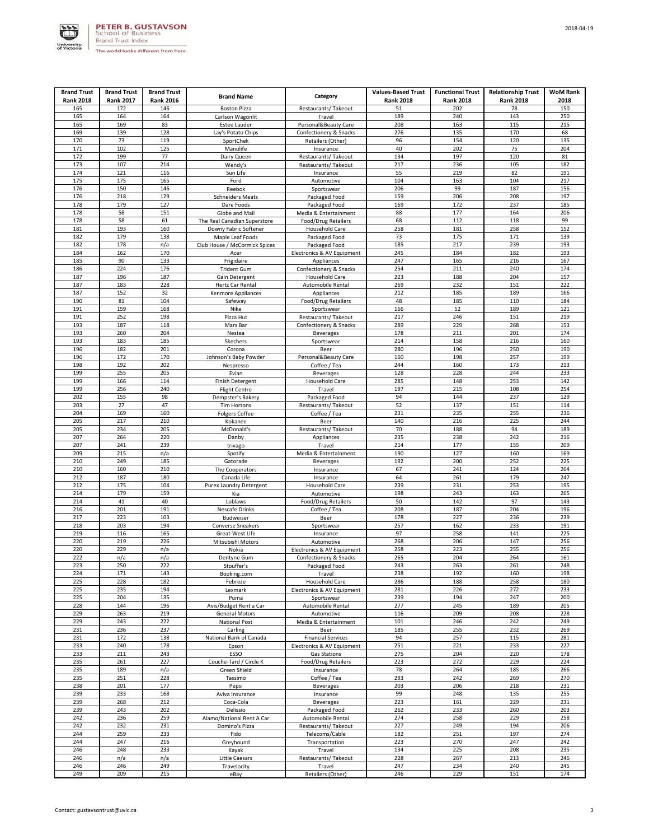

| <b>Brand Trust</b> | <b>Brand Trust</b> | <b>Brand Trust</b> |                                          |                                                | <b>Values-Based Trust</b> | <b>Functional Trust</b> | <b>Relationship Trust</b> | <b>WoM Rank</b> |
|--------------------|--------------------|--------------------|------------------------------------------|------------------------------------------------|---------------------------|-------------------------|---------------------------|-----------------|
| <b>Rank 2018</b>   | <b>Rank 2017</b>   | <b>Rank 2016</b>   | <b>Brand Name</b>                        | Category                                       | <b>Rank 2018</b>          | <b>Rank 2018</b>        | <b>Rank 2018</b>          | 2018            |
| 165                | 172                | 146                | <b>Boston Pizza</b>                      | Restaurants/ Takeout                           | 51                        | 202                     | 78                        | 150             |
| 165                | 164                | 164                | Carlson Wagonlit                         | Travel                                         | 189                       | 240                     | 143                       | 250             |
| 165<br>169         | 169<br>139         | 83<br>128          | Estee Lauder                             | Personal&Beauty Care<br>Confectionery & Snacks | 208<br>276                | 163<br>135              | 115<br>170                | 215<br>68       |
| 170                | 73                 | 119                | Lay's Potato Chips<br>SportChek          | Retailers (Other)                              | 96                        | 154                     | 120                       | 135             |
| 171                | 102                | 125                | Manulife                                 | Insurance                                      | 40                        | 202                     | 75                        | 204             |
| 172                | 199                | 77                 | Dairy Queen                              | Restaurants/ Takeout                           | 134                       | 197                     | 120                       | 81              |
| 173                | 107                | 214                | Wendy's                                  | Restaurants/ Takeout                           | 217                       | 236                     | 105                       | 182             |
| 174                | 121                | 116                | Sun Life                                 | Insurance                                      | 55                        | 219                     | 82                        | 191             |
| 175<br>176         | 175<br>150         | 165<br>146         | Ford<br>Reebok                           | Automotive<br>Sportswear                       | 104<br>206                | 163<br>99               | 104<br>187                | 217<br>156      |
| 176                | 218                | 129                | <b>Schneiders Meats</b>                  | Packaged Food                                  | 159                       | 206                     | 208                       | 197             |
| 178                | 179                | 127                | Dare Foods                               | Packaged Food                                  | 169                       | 172                     | 237                       | 185             |
| 178                | 58                 | 151                | Globe and Mail                           | Media & Entertainment                          | 88                        | 177                     | 164                       | 206             |
| 178                | 58                 | 61                 | The Real Canadian Superstore             | <b>Food/Drug Retailers</b>                     | 68                        | 112                     | 118                       | 99              |
| 181                | 193                | 160                | Downy Fabric Softener                    | Household Care                                 | 258                       | 181                     | 258                       | 152             |
| 182                | 179                | 138                | Maple Leaf Foods                         | Packaged Food                                  | 73                        | 175                     | 171                       | 139             |
| 182<br>184         | 178<br>162         | n/a<br>170         | Club House / McCormick Spices            | Packaged Food                                  | 185<br>245                | 217<br>184              | 239<br>182                | 193<br>193      |
| 185                | 90                 | 133                | Acer<br>Frigidaire                       | Electronics & AV Equipment<br>Appliances       | 247                       | 165                     | 216                       | 167             |
| 186                | 224                | 176                | <b>Trident Gum</b>                       | Confectionery & Snacks                         | 254                       | 211                     | 240                       | 174             |
| 187                | 196                | 187                | Gain Detergent                           | Household Care                                 | 223                       | 188                     | 204                       | 157             |
| 187                | 183                | 228                | Hertz Car Rental                         | Automobile Rental                              | 269                       | 232                     | 151                       | 222             |
| 187                | 152                | 32                 | <b>Kenmore Appliances</b>                | Appliances                                     | 212                       | 185                     | 189                       | 166             |
| 190                | 81                 | 104                | Safeway                                  | Food/Drug Retailers                            | 48                        | 185                     | 110                       | 184             |
| 191<br>191         | 159                | 168                | Nike                                     | Sportswear                                     | 166                       | 52                      | 189<br>151                | 121             |
| 193                | 252<br>187         | 198<br>118         | Pizza Hut<br>Mars Bar                    | Restaurants/ Takeout<br>Confectionery & Snacks | 217<br>289                | 246<br>229              | 268                       | 219<br>153      |
| 193                | 260                | 204                | Nestea                                   | <b>Beverages</b>                               | 178                       | 211                     | 201                       | 174             |
| 193                | 183                | 185                | Skechers                                 | Sportswear                                     | 214                       | 158                     | 216                       | 160             |
| 196                | 182                | 201                | Corona                                   | Beer                                           | 280                       | 196                     | 250                       | 190             |
| 196                | 172                | 170                | Johnson's Baby Powder                    | Personal&Beauty Care                           | 160                       | 198                     | 257                       | 199             |
| 198                | 192                | 202                | Nespresso                                | Coffee / Tea                                   | 244                       | 160                     | 173                       | 213             |
| 199<br>199         | 255                | 205<br>114         | Evian                                    | <b>Beverages</b><br><b>Household Care</b>      | 128                       | 228                     | 244                       | 233             |
| 199                | 166<br>256         | 240                | Finish Detergent<br><b>Flight Centre</b> | Travel                                         | 285<br>197                | 148<br>215              | 253<br>108                | 142<br>254      |
| 202                | 155                | 98                 | Dempster's Bakery                        | Packaged Food                                  | 94                        | 144                     | 237                       | 129             |
| 203                | 27                 | 47                 | <b>Tim Hortons</b>                       | Restaurants/ Takeout                           | 52                        | 137                     | 151                       | 114             |
| 204                | 169                | 160                | <b>Folgers Coffee</b>                    | Coffee / Tea                                   | 231                       | 235                     | 255                       | 236             |
| 205                | 217                | 210                | Kokanee                                  | Beer                                           | 140                       | 216                     | 225                       | 244             |
| 205                | 234                | 205                | McDonald's                               | Restaurants/ Takeout                           | 70                        | 188                     | 94                        | 189             |
| 207<br>207         | 264<br>241         | 220<br>239         | Danby                                    | Appliances<br>Travel                           | 235<br>214                | 238<br>177              | 242<br>155                | 216<br>209      |
| 209                | 215                | n/a                | trivago<br>Spotify                       | Media & Entertainment                          | 190                       | 127                     | 160                       | 169             |
| 210                | 249                | 185                | Gatorade                                 | <b>Beverages</b>                               | 192                       | 200                     | 252                       | 225             |
| 210                | 160                | 210                | The Cooperators                          | Insurance                                      | 67                        | 241                     | 124                       | 264             |
| 212                | 187                | 180                | Canada Life                              | Insurance                                      | 64                        | 261                     | 179                       | 247             |
| 212                | 175                | 104                | Purex Laundry Detergent                  | Household Care                                 | 239                       | 231                     | 253                       | 195             |
| 214                | 179                | 159                | Kia                                      | Automotive                                     | 198                       | 243                     | 163                       | 265             |
| 214<br>216         | 41<br>201          | 40<br>191          | Loblaws<br><b>Nescafe Drinks</b>         | Food/Drug Retailers<br>Coffee / Tea            | 50<br>208                 | 142<br>187              | 97<br>204                 | 143<br>196      |
| 217                | 223                | 103                | Budweiser                                | Beer                                           | 178                       | 227                     | 236                       | 239             |
| 218                | 203                | 194                | Converse Sneakers                        | Sportswear                                     | 257                       | 162                     | 233                       | 191             |
| 219                | 116                | 165                | Great-West Life                          | Insurance                                      | 97                        | 258                     | 141                       | 225             |
| 220                | 219                | 226                | Mitsubishi Motors                        | Automotive                                     | 268                       | 206                     | 147                       | 256             |
| 220                | 229                | n/a                | Nokia                                    | Electronics & AV Equipment                     | 258                       | 223                     | 255                       | 256             |
| 222                | n/a                | n/a                | Dentyne Gum                              | Confectionery & Snacks                         | 265                       | 204                     | 264                       | 161             |
| 223<br>224         | 250<br>171         | 222<br>143         | Stouffer's<br>Booking.com                | Packaged Food<br>Travel                        | 243<br>238                | 263<br>192              | 261<br>160                | 248<br>198      |
| 225                | 228                | 182                | Febreze                                  | Household Care                                 | 286                       | 188                     | 258                       | 180             |
| 225                | 235                | 194                | Lexmark                                  | Electronics & AV Equipment                     | 281                       | 226                     | 272                       | 233             |
| 225                | 204                | 135                | Puma                                     | Sportswear                                     | 239                       | 194                     | 247                       | 200             |
| 228                | 144                | 196                | Avis/Budget Rent a Car                   | Automobile Rental                              | 277                       | 245                     | 189                       | 205             |
| 229                | 263                | 219                | <b>General Motors</b>                    | Automotive                                     | 116                       | 209                     | 208                       | 228             |
| 229<br>231         | 243<br>236         | 222<br>237         | <b>National Post</b>                     | Media & Entertainment                          | 101<br>185                | 246<br>255              | 242<br>232                | 249<br>269      |
| 231                | 172                | 138                | Carling<br>National Bank of Canada       | Beer<br><b>Financial Services</b>              | 94                        | 257                     | 115                       | 281             |
| 233                | 240                | 178                | Epson                                    | Electronics & AV Equipment                     | 251                       | 221                     | 233                       | 227             |
| 233                | 211                | 243                | ESSO                                     | Gas Stations                                   | 275                       | 204                     | 220                       | 178             |
| 235                | 261                | 227                | Couche-Tard / Circle K                   | Food/Drug Retailers                            | 223                       | 272                     | 229                       | 224             |
| 235                | 189                | n/a                | Green Shield                             | Insurance                                      | 78                        | 264                     | 185                       | 266             |
| 235                | 251                | 228                | Tassimo                                  | Coffee / Tea                                   | 293                       | 242                     | 269                       | 270             |
| 238<br>239         | 201<br>233         | 177<br>168         | Pepsi                                    | <b>Beverages</b>                               | 203<br>99                 | 206<br>248              | 218<br>135                | 231<br>255      |
| 239                | 268                | 212                | Aviva Insurance<br>Coca-Cola             | Insurance<br>Beverages                         | 223                       | 161                     | 229                       | 231             |
| 239                | 243                | 202                | Delissio                                 | Packaged Food                                  | 262                       | 233                     | 260                       | 203             |
| 242                | 236                | 259                | Alamo/National Rent A Car                | Automobile Rental                              | 274                       | 258                     | 229                       | 258             |
| 242                | 232                | 231                | Domino's Pizza                           | Restaurants/ Takeout                           | 227                       | 249                     | 194                       | 206             |
| 244                | 259                | 233                | Fido                                     | Telecoms/Cable                                 | 182                       | 251                     | 197                       | 274             |
| 244                | 247                | 216                | Greyhound                                | Transportation                                 | 223                       | 270                     | 247                       | 242             |
| 246<br>246         | 248<br>n/a         | 233<br>n/a         | Kayak                                    | Travel                                         | 134<br>228                | 225<br>267              | 208<br>213                | 235<br>246      |
| 246                | 246                | 249                | Little Caesars<br>Travelocity            | Restaurants/ Takeout<br>Travel                 | 247                       | 234                     | 240                       | 245             |
| 249                | 209                | 215                | eBay                                     | Retailers (Other)                              | 246                       | 229                     | 151                       | 174             |